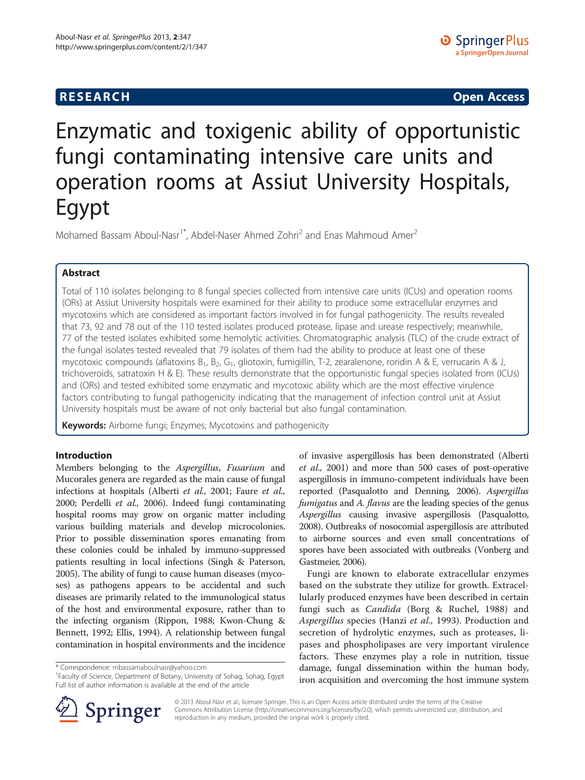# **RESEARCH RESEARCH** *CHECK CHECK CHECK CHECK CHECK CHECK CHECK CHECK CHECK CHECK CHECK CHECK CHECK CHECK CHECK CHECK CHECK CHECK CHECK CHECK CHECK CHECK CHECK CHECK CHECK CHECK CHECK CHECK CHECK CHECK CHECK CHECK CHECK*

# Enzymatic and toxigenic ability of opportunistic fungi contaminating intensive care units and operation rooms at Assiut University Hospitals, Egypt

Mohamed Bassam Aboul-Nasr<sup>1\*</sup>, Abdel-Naser Ahmed Zohri<sup>2</sup> and Enas Mahmoud Amer<sup>2</sup>

# Abstract

Total of 110 isolates belonging to 8 fungal species collected from intensive care units (ICUs) and operation rooms (ORs) at Assiut University hospitals were examined for their ability to produce some extracellular enzymes and mycotoxins which are considered as important factors involved in for fungal pathogenicity. The results revealed that 73, 92 and 78 out of the 110 tested isolates produced protease, lipase and urease respectively; meanwhile, 77 of the tested isolates exhibited some hemolytic activities. Chromatographic analysis (TLC) of the crude extract of the fungal isolates tested revealed that 79 isolates of them had the ability to produce at least one of these mycotoxic compounds (aflatoxins B<sub>1</sub>, B<sub>2</sub>, G<sub>1</sub>, gliotoxin, fumigillin, T-2, zearalenone, roridin A & E, verrucarin A & J, trichoveroids, satratoxin H & E). These results demonstrate that the opportunistic fungal species isolated from (ICUs) and (ORs) and tested exhibited some enzymatic and mycotoxic ability which are the most effective virulence factors contributing to fungal pathogenicity indicating that the management of infection control unit at Assiut University hospitals must be aware of not only bacterial but also fungal contamination.

Keywords: Airborne fungi; Enzymes; Mycotoxins and pathogenicity

# Introduction

Members belonging to the Aspergillus, Fusarium and Mucorales genera are regarded as the main cause of fungal infections at hospitals (Alberti et al., [2001;](#page-4-0) Faure et al., [2000;](#page-4-0) Perdelli et al., [2006\)](#page-4-0). Indeed fungi contaminating hospital rooms may grow on organic matter including various building materials and develop microcolonies. Prior to possible dissemination spores emanating from these colonies could be inhaled by immuno-suppressed patients resulting in local infections (Singh & Paterson, [2005\)](#page-5-0). The ability of fungi to cause human diseases (mycoses) as pathogens appears to be accidental and such diseases are primarily related to the immunological status of the host and environmental exposure, rather than to the infecting organism (Rippon, [1988](#page-5-0); Kwon-Chung & Bennett, [1992;](#page-4-0) Ellis, [1994\)](#page-4-0). A relationship between fungal contamination in hospital environments and the incidence

<sup>1</sup> Faculty of Science, Department of Botany, University of Sohag, Sohag, Egypt Full list of author information is available at the end of the article



Fungi are known to elaborate extracellular enzymes based on the substrate they utilize for growth. Extracellularly produced enzymes have been described in certain fungi such as Candida (Borg & Ruchel, [1988\)](#page-4-0) and Aspergillus species (Hanzi et al., [1993\)](#page-4-0). Production and secretion of hydrolytic enzymes, such as proteases, lipases and phospholipases are very important virulence factors. These enzymes play a role in nutrition, tissue damage, fungal dissemination within the human body, iron acquisition and overcoming the host immune system



© 2013 Aboul-Nasr et al.; licensee Springer. This is an Open Access article distributed under the terms of the Creative Commons Attribution License (<http://creativecommons.org/licenses/by/2.0>), which permits unrestricted use, distribution, and reproduction in any medium, provided the original work is properly cited.

<sup>\*</sup> Correspondence: [mbassamaboulnasr@yahoo.com](mailto:mbassamaboulnasr@yahoo.com) <sup>1</sup>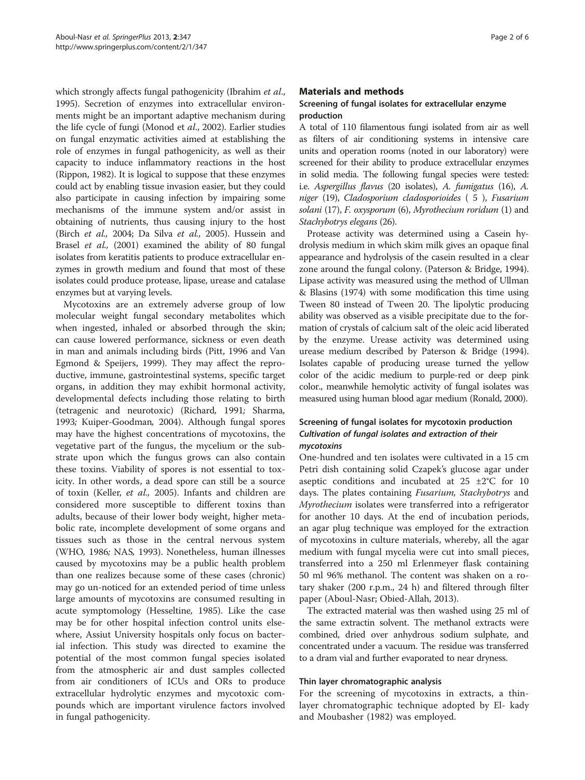which strongly affects fungal pathogenicity (Ibrahim et al., [1995\)](#page-4-0). Secretion of enzymes into extracellular environments might be an important adaptive mechanism during the life cycle of fungi (Monod et al., [2002](#page-4-0)). Earlier studies on fungal enzymatic activities aimed at establishing the role of enzymes in fungal pathogenicity, as well as their capacity to induce inflammatory reactions in the host (Rippon, [1982](#page-5-0)). It is logical to suppose that these enzymes could act by enabling tissue invasion easier, but they could also participate in causing infection by impairing some mechanisms of the immune system and/or assist in obtaining of nutrients, thus causing injury to the host (Birch et al., [2004](#page-4-0); Da Silva et al., [2005\)](#page-4-0). Hussein and Brasel et al., ([2001](#page-4-0)) examined the ability of 80 fungal isolates from keratitis patients to produce extracellular enzymes in growth medium and found that most of these isolates could produce protease, lipase, urease and catalase enzymes but at varying levels.

Mycotoxins are an extremely adverse group of low molecular weight fungal secondary metabolites which when ingested, inhaled or absorbed through the skin; can cause lowered performance, sickness or even death in man and animals including birds (Pitt, [1996](#page-4-0) and Van Egmond & Speijers, [1999\)](#page-5-0). They may affect the reproductive, immune, gastrointestinal systems, specific target organs, in addition they may exhibit hormonal activity, developmental defects including those relating to birth (tetragenic and neurotoxic) (Richard, [1991](#page-4-0); Sharma, [1993](#page-5-0); Kuiper-Goodman, [2004](#page-4-0)). Although fungal spores may have the highest concentrations of mycotoxins, the vegetative part of the fungus, the mycelium or the substrate upon which the fungus grows can also contain these toxins. Viability of spores is not essential to toxicity. In other words, a dead spore can still be a source of toxin (Keller, et al., [2005](#page-4-0)). Infants and children are considered more susceptible to different toxins than adults, because of their lower body weight, higher metabolic rate, incomplete development of some organs and tissues such as those in the central nervous system (WHO, [1986](#page-5-0); NAS, [1993\)](#page-4-0). Nonetheless, human illnesses caused by mycotoxins may be a public health problem than one realizes because some of these cases (chronic) may go un-noticed for an extended period of time unless large amounts of mycotoxins are consumed resulting in acute symptomology (Hesseltine, [1985\)](#page-4-0). Like the case may be for other hospital infection control units elsewhere, Assiut University hospitals only focus on bacterial infection. This study was directed to examine the potential of the most common fungal species isolated from the atmospheric air and dust samples collected from air conditioners of ICUs and ORs to produce extracellular hydrolytic enzymes and mycotoxic compounds which are important virulence factors involved in fungal pathogenicity.

## Materials and methods

# Screening of fungal isolates for extracellular enzyme production

A total of 110 filamentous fungi isolated from air as well as filters of air conditioning systems in intensive care units and operation rooms (noted in our laboratory) were screened for their ability to produce extracellular enzymes in solid media. The following fungal species were tested: i.e. Aspergillus flavus (20 isolates), A. fumigatus (16), A. niger (19), Cladosporium cladosporioides ( 5 ), Fusarium solani (17), F. oxysporum (6), Myrothecium roridum (1) and Stachybotrys elegans (26).

Protease activity was determined using a Casein hydrolysis medium in which skim milk gives an opaque final appearance and hydrolysis of the casein resulted in a clear zone around the fungal colony. (Paterson & Bridge, [1994](#page-4-0)). Lipase activity was measured using the method of Ullman & Blasins [\(1974\)](#page-5-0) with some modification this time using Tween 80 instead of Tween 20. The lipolytic producing ability was observed as a visible precipitate due to the formation of crystals of calcium salt of the oleic acid liberated by the enzyme. Urease activity was determined using urease medium described by Paterson & Bridge [\(1994](#page-4-0)). Isolates capable of producing urease turned the yellow color of the acidic medium to purple-red or deep pink color., meanwhile hemolytic activity of fungal isolates was measured using human blood agar medium (Ronald, [2000](#page-5-0)).

# Screening of fungal isolates for mycotoxin production Cultivation of fungal isolates and extraction of their mycotoxins

One-hundred and ten isolates were cultivated in a 15 cm Petri dish containing solid Czapek's glucose agar under aseptic conditions and incubated at 25 ±2°C for 10 days. The plates containing *Fusarium*, *Stachybotrys* and Myrothecium isolates were transferred into a refrigerator for another 10 days. At the end of incubation periods, an agar plug technique was employed for the extraction of mycotoxins in culture materials, whereby, all the agar medium with fungal mycelia were cut into small pieces, transferred into a 250 ml Erlenmeyer flask containing 50 ml 96% methanol. The content was shaken on a rotary shaker (200 r.p.m., 24 h) and filtered through filter paper (Aboul-Nasr; Obied-Allah, [2013\)](#page-4-0).

The extracted material was then washed using 25 ml of the same extractin solvent. The methanol extracts were combined, dried over anhydrous sodium sulphate, and concentrated under a vacuum. The residue was transferred to a dram vial and further evaporated to near dryness.

#### Thin layer chromatographic analysis

For the screening of mycotoxins in extracts, a thinlayer chromatographic technique adopted by El- kady and Moubasher ([1982\)](#page-4-0) was employed.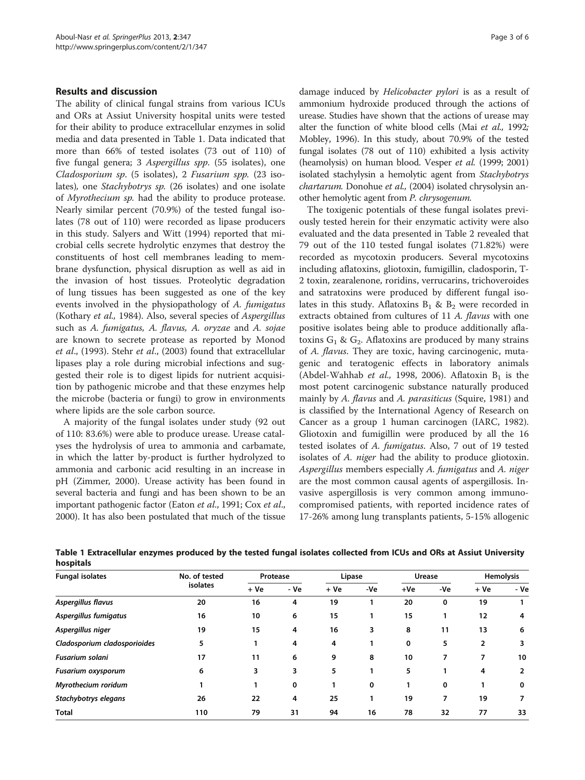## Results and discussion

The ability of clinical fungal strains from various ICUs and ORs at Assiut University hospital units were tested for their ability to produce extracellular enzymes in solid media and data presented in Table 1. Data indicated that more than 66% of tested isolates (73 out of 110) of five fungal genera; 3 Aspergillus spp. (55 isolates), one Cladosporium sp. (5 isolates), 2 Fusarium spp. (23 isolates), one Stachybotrys sp. (26 isolates) and one isolate of Myrothecium sp. had the ability to produce protease. Nearly similar percent (70.9%) of the tested fungal isolates (78 out of 110) were recorded as lipase producers in this study. Salyers and Witt [\(1994\)](#page-5-0) reported that microbial cells secrete hydrolytic enzymes that destroy the constituents of host cell membranes leading to membrane dysfunction, physical disruption as well as aid in the invasion of host tissues. Proteolytic degradation of lung tissues has been suggested as one of the key events involved in the physiopathology of A. fumigatus (Kothary et al., [1984\)](#page-4-0). Also, several species of Aspergillus such as A. fumigatus, A. flavus, A. oryzae and A. sojae are known to secrete protease as reported by Monod et al., ([1993\)](#page-4-0). Stehr et al., ([2003\)](#page-5-0) found that extracellular lipases play a role during microbial infections and suggested their role is to digest lipids for nutrient acquisition by pathogenic microbe and that these enzymes help the microbe (bacteria or fungi) to grow in environments where lipids are the sole carbon source.

A majority of the fungal isolates under study (92 out of 110: 83.6%) were able to produce urease. Urease catalyses the hydrolysis of urea to ammonia and carbamate, in which the latter by-product is further hydrolyzed to ammonia and carbonic acid resulting in an increase in pH (Zimmer, [2000\)](#page-4-0). Urease activity has been found in several bacteria and fungi and has been shown to be an important pathogenic factor (Eaton et al., [1991;](#page-4-0) Cox et al., [2000\)](#page-4-0). It has also been postulated that much of the tissue damage induced by Helicobacter pylori is as a result of ammonium hydroxide produced through the actions of urease. Studies have shown that the actions of urease may alter the function of white blood cells (Mai et al., [1992](#page-4-0); Mobley, [1996\)](#page-4-0). In this study, about 70.9% of the tested fungal isolates (78 out of 110) exhibited a lysis activity (heamolysis) on human blood. Vesper et al. [\(1999](#page-5-0); [2001](#page-5-0)) isolated stachylysin a hemolytic agent from Stachybotrys chartarum. Donohue et al., [\(2004](#page-4-0)) isolated chrysolysin another hemolytic agent from P. chrysogenum.

The toxigenic potentials of these fungal isolates previously tested herein for their enzymatic activity were also evaluated and the data presented in Table [2](#page-3-0) revealed that 79 out of the 110 tested fungal isolates (71.82%) were recorded as mycotoxin producers. Several mycotoxins including aflatoxins, gliotoxin, fumigillin, cladosporin, T-2 toxin, zearalenone, roridins, verrucarins, trichoveroides and satratoxins were produced by different fungal isolates in this study. Aflatoxins  $B_1 \& B_2$  were recorded in extracts obtained from cultures of 11 A. flavus with one positive isolates being able to produce additionally aflatoxins  $G_1 \& G_2$ . Aflatoxins are produced by many strains of A. flavus. They are toxic, having carcinogenic, mutagenic and teratogenic effects in laboratory animals (Abdel-Wahhab et al., [1998, 2006\)](#page-4-0). Aflatoxin  $B_1$  is the most potent carcinogenic substance naturally produced mainly by A. flavus and A. parasiticus (Squire, [1981](#page-5-0)) and is classified by the International Agency of Research on Cancer as a group 1 human carcinogen (IARC, [1982](#page-4-0)). Gliotoxin and fumigillin were produced by all the 16 tested isolates of A. fumigatus. Also, 7 out of 19 tested isolates of A. niger had the ability to produce gliotoxin. Aspergillus members especially A. fumigatus and A. niger are the most common causal agents of aspergillosis. Invasive aspergillosis is very common among immunocompromised patients, with reported incidence rates of 17-26% among lung transplants patients, 5-15% allogenic

| <b>Fungal isolates</b>       | No. of tested<br>isolates | Protease |      | Lipase |     | Urease |     | <b>Hemolysis</b> |      |
|------------------------------|---------------------------|----------|------|--------|-----|--------|-----|------------------|------|
|                              |                           | + Ve     | - Ve | $+Ve$  | -Ve | +Ve    | -Ve | + Ve             | - Ve |
| Aspergillus flavus           | 20                        | 16       | 4    | 19     |     | 20     | 0   | 19               |      |
| Aspergillus fumigatus        | 16                        | 10       | 6    | 15     |     | 15     | 1   | 12               | 4    |
| Aspergillus niger            | 19                        | 15       | 4    | 16     | 3   | 8      | 11  | 13               | 6    |
| Cladosporium cladosporioides | 5                         |          | 4    | 4      |     | 0      | 5   | 2                | 3    |
| <b>Fusarium solani</b>       | 17                        | 11       | 6    | 9      | 8   | 10     | 7   | 7                | 10   |
| Fusarium oxysporum           | 6                         | 3        | 3    | 5      |     | 5.     |     | 4                | 2    |
| Myrothecium roridum          |                           |          | 0    |        | 0   |        | 0   |                  | 0    |
| Stachybotrys elegans         | 26                        | 22       | 4    | 25     |     | 19     | 7   | 19               | 7    |
| <b>Total</b>                 | 110                       | 79       | 31   | 94     | 16  | 78     | 32  | 77               | 33   |

Table 1 Extracellular enzymes produced by the tested fungal isolates collected from ICUs and ORs at Assiut University hospitals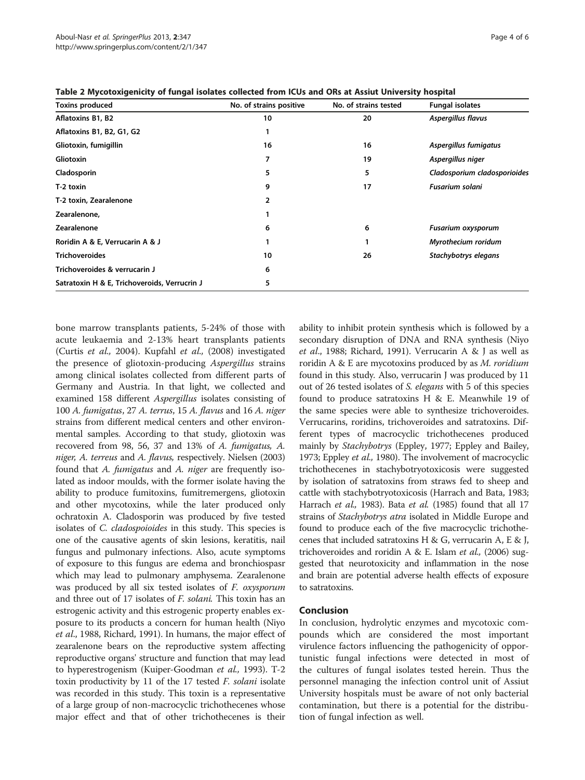| <b>Toxins produced</b>                       | No. of strains positive | No. of strains tested | <b>Fungal isolates</b>       |
|----------------------------------------------|-------------------------|-----------------------|------------------------------|
| Aflatoxins B1, B2                            | 10                      | 20                    | Aspergillus flavus           |
| Aflatoxins B1, B2, G1, G2                    |                         |                       |                              |
| Gliotoxin, fumigillin                        | 16                      | 16                    | Aspergillus fumigatus        |
| <b>Gliotoxin</b>                             | 7                       | 19                    | Aspergillus niger            |
| Cladosporin                                  | 5                       | 5                     | Cladosporium cladosporioides |
| T-2 toxin                                    | 9                       | 17                    | <b>Fusarium solani</b>       |
| T-2 toxin, Zearalenone                       | 2                       |                       |                              |
| Zearalenone,                                 |                         |                       |                              |
| <b>Zearalenone</b>                           | 6                       | 6                     | Fusarium oxysporum           |
| Roridin A & E, Verrucarin A & J              |                         |                       | Myrothecium roridum          |
| <b>Trichoveroides</b>                        | 10                      | 26                    | Stachybotrys elegans         |
| Trichoveroides & verrucarin J                | 6                       |                       |                              |
| Satratoxin H & E, Trichoveroids, Verrucrin J | 5                       |                       |                              |

<span id="page-3-0"></span>Table 2 Mycotoxigenicity of fungal isolates collected from ICUs and ORs at Assiut University hospital

bone marrow transplants patients, 5-24% of those with acute leukaemia and 2-13% heart transplants patients (Curtis et al., [2004](#page-4-0)). Kupfahl et al., [\(2008\)](#page-4-0) investigated the presence of gliotoxin-producing Aspergillus strains among clinical isolates collected from different parts of Germany and Austria. In that light, we collected and examined 158 different Aspergillus isolates consisting of 100 A. fumigatus, 27 A. terrus, 15 A. flavus and 16 A. niger strains from different medical centers and other environmental samples. According to that study, gliotoxin was recovered from 98, 56, 37 and 13% of A. fumigatus, A. niger, A. terreus and A. flavus, respectively. Nielsen [\(2003](#page-4-0)) found that A. fumigatus and A. niger are frequently isolated as indoor moulds, with the former isolate having the ability to produce fumitoxins, fumitremergens, gliotoxin and other mycotoxins, while the later produced only ochratoxin A. Cladosporin was produced by five tested isolates of C. cladospoioides in this study. This species is one of the causative agents of skin lesions, keratitis, nail fungus and pulmonary infections. Also, acute symptoms of exposure to this fungus are edema and bronchiospasr which may lead to pulmonary amphysema. Zearalenone was produced by all six tested isolates of *F. oxysporum* and three out of 17 isolates of F. solani. This toxin has an estrogenic activity and this estrogenic property enables exposure to its products a concern for human health (Niyo et al., [1988,](#page-4-0) Richard, [1991\)](#page-4-0). In humans, the major effect of zearalenone bears on the reproductive system affecting reproductive organs' structure and function that may lead to hyperestrogenism (Kuiper-Goodman et al., [1993](#page-4-0)). T-2 toxin productivity by 11 of the 17 tested *F. solani* isolate was recorded in this study. This toxin is a representative of a large group of non-macrocyclic trichothecenes whose major effect and that of other trichothecenes is their ability to inhibit protein synthesis which is followed by a secondary disruption of DNA and RNA synthesis (Niyo et al., [1988;](#page-4-0) Richard, [1991](#page-4-0)). Verrucarin A & J as well as roridin  $A \& E$  are mycotoxins produced by as M. roridium found in this study. Also, verrucarin J was produced by 11 out of 26 tested isolates of S. elegans with 5 of this species found to produce satratoxins H & E. Meanwhile 19 of the same species were able to synthesize trichoveroides. Verrucarins, roridins, trichoveroides and satratoxins. Different types of macrocyclic trichothecenes produced mainly by Stachybotrys (Eppley, [1977;](#page-4-0) Eppley and Bailey, [1973;](#page-4-0) Eppley et al., [1980](#page-4-0)). The involvement of macrocyclic trichothecenes in stachybotryotoxicosis were suggested by isolation of satratoxins from straws fed to sheep and cattle with stachybotryotoxicosis (Harrach and Bata, [1983](#page-4-0); Harrach et al., [1983](#page-4-0)). Bata et al. ([1985\)](#page-4-0) found that all 17 strains of *Stachybotrys atra* isolated in Middle Europe and found to produce each of the five macrocyclic trichothecenes that included satratoxins H & G, verrucarin A, E & J, trichoveroides and roridin A & E. Islam et al.,  $(2006)$  $(2006)$  suggested that neurotoxicity and inflammation in the nose and brain are potential adverse health effects of exposure to satratoxins.

#### Conclusion

In conclusion, hydrolytic enzymes and mycotoxic compounds which are considered the most important virulence factors influencing the pathogenicity of opportunistic fungal infections were detected in most of the cultures of fungal isolates tested herein. Thus the personnel managing the infection control unit of Assiut University hospitals must be aware of not only bacterial contamination, but there is a potential for the distribution of fungal infection as well.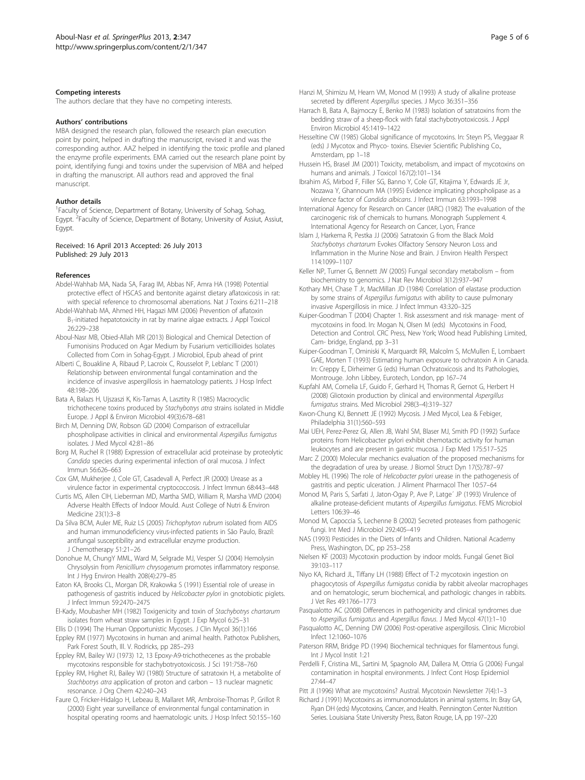#### <span id="page-4-0"></span>Competing interests

The authors declare that they have no competing interests.

#### Authors' contributions

MBA designed the research plan, followed the research plan execution point by point, helped in drafting the manuscript, revised it and was the corresponding author. AAZ helped in identifying the toxic profile and planed the enzyme profile experiments. EMA carried out the research plane point by point, identifying fungi and toxins under the supervision of MBA and helped in drafting the manuscript. All authors read and approved the final manuscript.

#### Author details

<sup>1</sup> Faculty of Science, Department of Botany, University of Sohag, Sohag, Egypt. <sup>2</sup>Faculty of Science, Department of Botany, University of Assiut, Assiut, Egypt.

#### Received: 16 April 2013 Accepted: 26 July 2013 Published: 29 July 2013

#### References

- Abdel-Wahhab MA, Nada SA, Farag IM, Abbas NF, Amra HA (1998) Potential protective effect of HSCAS and bentonite against dietary aflatoxicosis in rat: with special reference to chromosomal aberrations. Nat J Toxins 6:211–218
- Abdel-Wahhab MA, Ahmed HH, Hagazi MM (2006) Prevention of aflatoxin B<sub>1</sub>-initiated hepatotoxicity in rat by marine algae extracts. J Appl Toxicol 26:229–238
- Aboul-Nasr MB, Obied-Allah MR (2013) Biological and Chemical Detection of Fumonisins Produced on Agar Medium by Fusarium verticillioides Isolates Collected from Corn in Sohag-Egypt. J Microbiol, Epub ahead of print
- Alberti C, Bouakline A, Ribaud P, Lacroix C, Rousselot P, Leblanc T (2001) Relationship between environmental fungal contamination and the incidence of invasive aspergillosis in haematology patients. J Hosp Infect 48:198–206
- Bata A, Balazs H, Ujszaszi K, Kis-Tamas A, Lasztity R (1985) Macrocyclic trichothecene toxins produced by Stachybotrys atra strains isolated in Middle Europe. J Appl & Environ Microbiol 49(3):678–681
- Birch M, Denning DW, Robson GD (2004) Comparison of extracellular phospholipase activities in clinical and environmental Aspergillus fumigatus isolates. J Med Mycol 42:81–86
- Borg M, Ruchel R (1988) Expression of extracellular acid proteinase by proteolytic Candida species during experimental infection of oral mucosa. J Infect Immun 56:626–663
- Cox GM, Mukherjee J, Cole GT, Casadevall A, Perfect JR (2000) Urease as a virulence factor in experimental cryptococcosis. J Infect Immun 68:443–448
- Curtis MS, Allen CIH, Lieberman MD, Martha SMD, William R, Marsha VMD (2004) Adverse Health Effects of Indoor Mould. Aust College of Nutri & Environ Medicine 23(1):3–8
- Da Silva BCM, Auler ME, Ruiz LS (2005) Trichophyton rubrum isolated from AIDS and human immunodeficiency virus-infected patients in São Paulo, Brazil: antifungal susceptibility and extracellular enzyme production. J Chemotherapy 51:21–26
- Donohue M, ChungY MML, Ward M, Selgrade MJ, Vesper SJ (2004) Hemolysin Chrysolysin from Penicillium chrysogenum promotes inflammatory response. Int J Hyg Environ Health 208(4):279–85
- Eaton KA, Brooks CL, Morgan DR, Krakowka S (1991) Essential role of urease in pathogenesis of gastritis induced by Helicobacter pylori in gnotobiotic piglets. J Infect Immun 59:2470–2475
- El-Kady, Moubasher MH (1982) Toxigenicity and toxin of Stachybotrys chartarum isolates from wheat straw samples in Egypt. J Exp Mycol 6:25–31

Ellis D (1994) The Human Opportunistic Mycoses. J Clin Mycol 36(1):166

Eppley RM (1977) Mycotoxins in human and animal health. Pathotox Publishers, Park Forest South, Ill. V. Rodricks, pp 285–293

- Eppley RM, Bailey WJ (1973) 12, 13 Epoxy-A9-trichothecenes as the probable mycotoxins responsible for stachybotryotoxicosis. J Sci 191:758–760
- Eppley RM, Highet RJ, Bailey WJ (1980) Structure of satratoxin H, a metabolite of Stachbotrys atra application of proton and carbon – 13 nuclear magnetic resonance. J Org Chem 42:240–243
- Faure O, Fricker-Hidalgo H, Lebeau B, Mallaret MR, Ambroise-Thomas P, Grillot R (2000) Eight year surveillance of environmental fungal contamination in hospital operating rooms and haematologic units. J Hosp Infect 50:155–160
- Hanzi M, Shimizu M, Hearn VM, Monod M (1993) A study of alkaline protease secreted by different Aspergillus species. J Myco 36:351–356
- Harrach B, Bata A, Bajmoczy E, Benko M (1983) Isolation of satratoxins from the bedding straw of a sheep-flock with fatal stachybotryotoxicosis. J Appl Environ Microbiol 45:1419–1422
- Hesseltine CW (1985) Global significance of mycotoxins. In: Steyn PS, Vleggaar R (eds) J Mycotox and Phyco- toxins. Elsevier Scientific Publishing Co., Amsterdam, pp 1–18
- Hussein HS, Brasel JM (2001) Toxicity, metabolism, and impact of mycotoxins on humans and animals. J Toxicol 167(2):101–134
- Ibrahim AS, Mirbod F, Filler SG, Banno Y, Cole GT, Kitajima Y, Edwards JE Jr, Nozawa Y, Ghannoum MA (1995) Evidence implicating phospholipase as a virulence factor of Candida albicans. J Infect Immun 63:1993–1998
- International Agency for Research on Cancer (IARC) (1982) The evaluation of the carcinogenic risk of chemicals to humans. Monograph Supplement 4. International Agency for Research on Cancer, Lyon, France
- Islam J, Harkema R, Pestka JJ (2006) Satratoxin G from the Black Mold Stachybotrys chartarum Evokes Olfactory Sensory Neuron Loss and Inflammation in the Murine Nose and Brain. J Environ Health Perspect 114:1099–1107
- Keller NP, Turner G, Bennett JW (2005) Fungal secondary metabolism from biochemistry to genomics. J Nat Rev Microbiol 3(12):937–947
- Kothary MH, Chase T Jr, MacMillan JD (1984) Correlation of elastase production by some strains of Aspergillus fumigatus with ability to cause pulmonary invasive Aspergillosis in mice. J Infect Immun 43:320–325
- Kuiper-Goodman T (2004) Chapter 1. Risk assessment and risk manage- ment of mycotoxins in food. In: Mogan N, Olsen M (eds) Mycotoxins in Food, Detection and Control. CRC Press, New York; Wood head Publishing Limited, Cam- bridge, England, pp 3–31
- Kuiper-Goodman T, Ominiski K, Marquardt RR, Malcolm S, McMullen E, Lombaert GAE, Morten T (1993) Estimating human exposure to ochratoxin A in Canada. In: Creppy E, Dirheimer G (eds) Human Ochratoxicosis and Its Pathologies, Montrouge. John Libbey, Eurotech, London, pp 167–74
- Kupfahl AM, Cornelia LF, Guido F, Gerhard H, Thomas R, Gernot G, Herbert H (2008) Gliotoxin production by clinical and environmental Aspergillus fumigatus strains. Med Microbiol 298(3–4):319–327
- Kwon-Chung KJ, Bennett JE (1992) Mycosis. J Med Mycol, Lea & Febiger, Philadelphia 31(1):560–593
- Mai UEH, Perez-Perez GI, Allen JB, Wahl SM, Blaser MJ, Smith PD (1992) Surface proteins from Helicobacter pylori exhibit chemotactic activity for human leukocytes and are present in gastric mucosa. J Exp Med 175:517–525
- Marc Z (2000) Molecular mechanics evaluation of the proposed mechanisms for the degradation of urea by urease. J Biomol Struct Dyn 17(5):787–97
- Mobley HL (1996) The role of Helicobacter pylori urease in the pathogenesis of gastritis and peptic ulceration. J Aliment Pharmacol Ther 10:57–64
- Monod M, Paris S, Sarfati J, Jaton-Ogay P, Ave P, Latge´ JP (1993) Virulence of alkaline protease-deficient mutants of Aspergillus fumigatus. FEMS Microbiol Letters 106:39–46
- Monod M, Capoccia S, Lechenne B (2002) Secreted proteases from pathogenic fungi. Int Med J Microbiol 292:405–419
- NAS (1993) Pesticides in the Diets of Infants and Children. National Academy Press, Washington, DC, pp 253–258
- Nielsen KF (2003) Mycotoxin production by indoor molds. Fungal Genet Biol 39:103–117
- Niyo KA, Richard JL, Tiffany LH (1988) Effect of T-2 mycotoxin ingestion on phagocytosis of Aspergillus fumigatus conidia by rabbit alveolar macrophages and on hematologic, serum biochemical, and pathologic changes in rabbits. J Vet Res 49:1766–1773
- Pasqualotto AC (2008) Differences in pathogenicity and clinical syndromes due to Aspergillus fumigatus and Aspergillus flavus. J Med Mycol 47(1):1–10
- Pasqualotto AC, Denning DW (2006) Post-operative aspergillosis. Clinic Microbiol Infect 12:1060–1076
- Paterson RRM, Bridge PD (1994) Biochemical techniques for filamentous fungi. Int J Mycol Instit 1:21
- Perdelli F, Cristina ML, Sartini M, Spagnolo AM, Dallera M, Ottria G (2006) Fungal contamination in hospital environments. J Infect Cont Hosp Epidemiol 27:44–47
- Pitt JI (1996) What are mycotoxins? Austral. Mycotoxin Newsletter 7(4):1-3
- Richard J (1991) Mycotoxins as immunomodulators in animal systems. In: Bray GA, Ryan DH (eds) Mycotoxins, Cancer, and Health. Pennington Center Nutrition Series. Louisiana State University Press, Baton Rouge, LA, pp 197–220